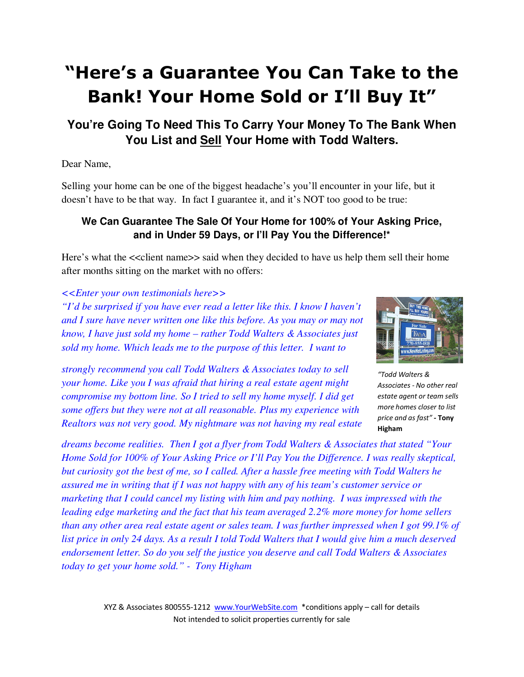# **"Here's a Guarantee You Can Take to the Bank! Your Home Sold or I'll Buy It"**

## **You're Going To Need This To Carry Your Money To The Bank When You List and Sell Your Home with Todd Walters.**

#### Dear Name,

Selling your home can be one of the biggest headache's you'll encounter in your life, but it doesn't have to be that way. In fact I guarantee it, and it's NOT too good to be true:

### **We Can Guarantee The Sale Of Your Home for 100% of Your Asking Price, and in Under 59 Days, or I'll Pay You the Difference!\***

Here's what the  $\le$ client name>> said when they decided to have us help them sell their home after months sitting on the market with no offers:

#### *<<Enter your own testimonials here>>*

*"I'd be surprised if you have ever read a letter like this. I know I haven't and I sure have never written one like this before. As you may or may not know, I have just sold my home – rather Todd Walters & Associates just sold my home. Which leads me to the purpose of this letter. I want to* 

*strongly recommend you call Todd Walters & Associates today to sell your home. Like you I was afraid that hiring a real estate agent might compromise my bottom line. So I tried to sell my home myself. I did get some offers but they were not at all reasonable. Plus my experience with Realtors was not very good. My nightmare was not having my real estate* 



*"Todd Walters & Associates - No other real estate agent or team sells more homes closer to list price and as fast" -* **Tony Higham**

*dreams become realities. Then I got a flyer from Todd Walters & Associates that stated "Your Home Sold for 100% of Your Asking Price or I'll Pay You the Difference. I was really skeptical, but curiosity got the best of me, so I called. After a hassle free meeting with Todd Walters he assured me in writing that if I was not happy with any of his team's customer service or marketing that I could cancel my listing with him and pay nothing. I was impressed with the leading edge marketing and the fact that his team averaged 2.2% more money for home sellers than any other area real estate agent or sales team. I was further impressed when I got 99.1% of list price in only 24 days. As a result I told Todd Walters that I would give him a much deserved endorsement letter. So do you self the justice you deserve and call Todd Walters & Associates today to get your home sold." - Tony Higham*